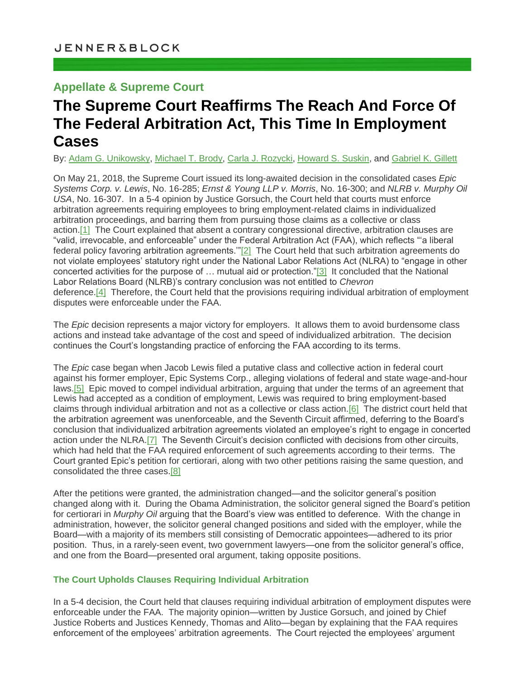## **Appellate & Supreme Court**

# **The Supreme Court Reaffirms The Reach And Force Of The Federal Arbitration Act, This Time In Employment Cases**

By: [Adam G. Unikowsky,](https://jenner.com/people/AdamUnikowsky) [Michael T. Brody,](https://jenner.com/people/MichaelBrody) [Carla J. Rozycki,](https://jenner.com/people/CarlaRozycki) [Howard S. Suskin,](https://jenner.com/people/HowardSuskin) an[d Gabriel K. Gillett](https://jenner.com/people/GabrielGillett)

On May 21, 2018, the Supreme Court issued its long-awaited decision in the consolidated cases *Epic Systems Corp. v. Lewis*, No. 16-285; *Ernst & Young LLP v. Morris*, No. 16-300; and *NLRB v. Murphy Oil USA*, No. 16-307. In a 5-4 opinion by Justice Gorsuch, the Court held that courts must enforce arbitration agreements requiring employees to bring employment-related claims in individualized arbitration proceedings, and barring them from pursuing those claims as a collective or class action[.\[1\]](https://sites-jenner.vuturevx.com/61/1249/may-2018/the-supreme-court-reaffirms-the-reach-and-force-of-the-federal-arbitration-act--this-time-in-employment-cases(3).asp#footnote1) The Court explained that absent a contrary congressional directive, arbitration clauses are "valid, irrevocable, and enforceable" under the Federal Arbitration Act (FAA), which reflects "'a liberal federal policy favoring arbitration agreements.'["\[2\]](https://sites-jenner.vuturevx.com/61/1249/may-2018/the-supreme-court-reaffirms-the-reach-and-force-of-the-federal-arbitration-act--this-time-in-employment-cases(3).asp#footnote1) The Court held that such arbitration agreements do not violate employees' statutory right under the National Labor Relations Act (NLRA) to "engage in other concerted activities for the purpose of … mutual aid or protection.["\[3\]](https://sites-jenner.vuturevx.com/61/1249/may-2018/the-supreme-court-reaffirms-the-reach-and-force-of-the-federal-arbitration-act--this-time-in-employment-cases(3).asp#footnote1) It concluded that the National Labor Relations Board (NLRB)'s contrary conclusion was not entitled to *Chevron*  deference.<sup>[4]</sup> Therefore, the Court held that the provisions requiring individual arbitration of employment disputes were enforceable under the FAA.

The *Epic* decision represents a major victory for employers. It allows them to avoid burdensome class actions and instead take advantage of the cost and speed of individualized arbitration. The decision continues the Court's longstanding practice of enforcing the FAA according to its terms.

The *Epic* case began when Jacob Lewis filed a putative class and collective action in federal court against his former employer, Epic Systems Corp., alleging violations of federal and state wage-and-hour laws[.\[5\]](https://sites-jenner.vuturevx.com/61/1249/may-2018/the-supreme-court-reaffirms-the-reach-and-force-of-the-federal-arbitration-act--this-time-in-employment-cases(3).asp#footnote1) Epic moved to compel individual arbitration, arguing that under the terms of an agreement that Lewis had accepted as a condition of employment, Lewis was required to bring employment-based claims through individual arbitration and not as a collective or class action[.\[6\]](https://sites-jenner.vuturevx.com/61/1249/may-2018/the-supreme-court-reaffirms-the-reach-and-force-of-the-federal-arbitration-act--this-time-in-employment-cases(3).asp#footnote1) The district court held that the arbitration agreement was unenforceable, and the Seventh Circuit affirmed, deferring to the Board's conclusion that individualized arbitration agreements violated an employee's right to engage in concerted action under the NLRA[.\[7\]](https://sites-jenner.vuturevx.com/61/1249/may-2018/the-supreme-court-reaffirms-the-reach-and-force-of-the-federal-arbitration-act--this-time-in-employment-cases(3).asp#footnote1) The Seventh Circuit's decision conflicted with decisions from other circuits, which had held that the FAA required enforcement of such agreements according to their terms. The Court granted Epic's petition for certiorari, along with two other petitions raising the same question, and consolidated the three cases[.\[8\]](https://sites-jenner.vuturevx.com/61/1249/may-2018/the-supreme-court-reaffirms-the-reach-and-force-of-the-federal-arbitration-act--this-time-in-employment-cases(3).asp#footnote1)

After the petitions were granted, the administration changed—and the solicitor general's position changed along with it. During the Obama Administration, the solicitor general signed the Board's petition for certiorari in *Murphy Oil* arguing that the Board's view was entitled to deference. With the change in administration, however, the solicitor general changed positions and sided with the employer, while the Board—with a majority of its members still consisting of Democratic appointees—adhered to its prior position. Thus, in a rarely-seen event, two government lawyers—one from the solicitor general's office, and one from the Board—presented oral argument, taking opposite positions.

### **The Court Upholds Clauses Requiring Individual Arbitration**

In a 5-4 decision, the Court held that clauses requiring individual arbitration of employment disputes were enforceable under the FAA. The majority opinion—written by Justice Gorsuch, and joined by Chief Justice Roberts and Justices Kennedy, Thomas and Alito—began by explaining that the FAA requires enforcement of the employees' arbitration agreements. The Court rejected the employees' argument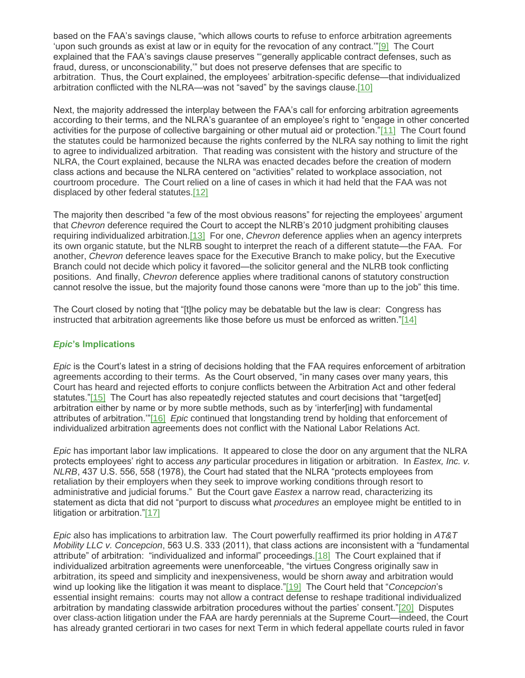based on the FAA's savings clause, "which allows courts to refuse to enforce arbitration agreements 'upon such grounds as exist at law or in equity for the revocation of any contract.'["\[9\]](https://sites-jenner.vuturevx.com/61/1249/may-2018/the-supreme-court-reaffirms-the-reach-and-force-of-the-federal-arbitration-act--this-time-in-employment-cases(3).asp#footnote1) The Court explained that the FAA's savings clause preserves "'generally applicable contract defenses, such as fraud, duress, or unconscionability,'" but does not preserve defenses that are specific to arbitration. Thus, the Court explained, the employees' arbitration-specific defense—that individualized arbitration conflicted with the NLRA—was not "saved" by the savings clause[.\[10\]](https://sites-jenner.vuturevx.com/61/1249/may-2018/the-supreme-court-reaffirms-the-reach-and-force-of-the-federal-arbitration-act--this-time-in-employment-cases(3).asp#footnote10)

Next, the majority addressed the interplay between the FAA's call for enforcing arbitration agreements according to their terms, and the NLRA's guarantee of an employee's right to "engage in other concerted activities for the purpose of collective bargaining or other mutual aid or protection.["\[11\]](https://sites-jenner.vuturevx.com/61/1249/may-2018/the-supreme-court-reaffirms-the-reach-and-force-of-the-federal-arbitration-act--this-time-in-employment-cases(3).asp#footnote10) The Court found the statutes could be harmonized because the rights conferred by the NLRA say nothing to limit the right to agree to individualized arbitration. That reading was consistent with the history and structure of the NLRA, the Court explained, because the NLRA was enacted decades before the creation of modern class actions and because the NLRA centered on "activities" related to workplace association, not courtroom procedure. The Court relied on a line of cases in which it had held that the FAA was not displaced by other federal statutes[.\[12\]](https://sites-jenner.vuturevx.com/61/1249/may-2018/the-supreme-court-reaffirms-the-reach-and-force-of-the-federal-arbitration-act--this-time-in-employment-cases(3).asp#footnote10)

The majority then described "a few of the most obvious reasons" for rejecting the employees' argument that *Chevron* deference required the Court to accept the NLRB's 2010 judgment prohibiting clauses requiring individualized arbitration[.\[13\]](https://sites-jenner.vuturevx.com/61/1249/may-2018/the-supreme-court-reaffirms-the-reach-and-force-of-the-federal-arbitration-act--this-time-in-employment-cases(3).asp#footnote10) For one, *Chevron* deference applies when an agency interprets its own organic statute, but the NLRB sought to interpret the reach of a different statute—the FAA. For another, *Chevron* deference leaves space for the Executive Branch to make policy, but the Executive Branch could not decide which policy it favored—the solicitor general and the NLRB took conflicting positions. And finally, *Chevron* deference applies where traditional canons of statutory construction cannot resolve the issue, but the majority found those canons were "more than up to the job" this time.

The Court closed by noting that "[t]he policy may be debatable but the law is clear: Congress has instructed that arbitration agreements like those before us must be enforced as written.["\[14\]](https://sites-jenner.vuturevx.com/61/1249/may-2018/the-supreme-court-reaffirms-the-reach-and-force-of-the-federal-arbitration-act--this-time-in-employment-cases(3).asp#footnote10)

#### *Epic***'s Implications**

*Epic* is the Court's latest in a string of decisions holding that the FAA requires enforcement of arbitration agreements according to their terms. As the Court observed, "in many cases over many years, this Court has heard and rejected efforts to conjure conflicts between the Arbitration Act and other federal statutes.["\[15\]](https://sites-jenner.vuturevx.com/61/1249/may-2018/the-supreme-court-reaffirms-the-reach-and-force-of-the-federal-arbitration-act--this-time-in-employment-cases(3).asp#footnote10) The Court has also repeatedly rejected statutes and court decisions that "target[ed] arbitration either by name or by more subtle methods, such as by 'interfer[ing] with fundamental attributes of arbitration.'["\[16\]](https://sites-jenner.vuturevx.com/61/1249/may-2018/the-supreme-court-reaffirms-the-reach-and-force-of-the-federal-arbitration-act--this-time-in-employment-cases(3).asp#footnote10) *Epic* continued that longstanding trend by holding that enforcement of individualized arbitration agreements does not conflict with the National Labor Relations Act.

*Epic* has important labor law implications. It appeared to close the door on any argument that the NLRA protects employees' right to access *any* particular procedures in litigation or arbitration. In *Eastex, Inc. v. NLRB*, 437 U.S. 556, 558 (1978), the Court had stated that the NLRA "protects employees from retaliation by their employers when they seek to improve working conditions through resort to administrative and judicial forums." But the Court gave *Eastex* a narrow read, characterizing its statement as dicta that did not "purport to discuss what *procedures* an employee might be entitled to in litigation or arbitration.["\[17\]](https://sites-jenner.vuturevx.com/61/1249/may-2018/the-supreme-court-reaffirms-the-reach-and-force-of-the-federal-arbitration-act--this-time-in-employment-cases(3).asp#footnote10)

*Epic* also has implications to arbitration law. The Court powerfully reaffirmed its prior holding in *AT&T Mobility LLC v. Concepcion*, 563 U.S. 333 (2011), that class actions are inconsistent with a "fundamental attribute" of arbitration: "individualized and informal" proceedings[.\[18\]](https://sites-jenner.vuturevx.com/61/1249/may-2018/the-supreme-court-reaffirms-the-reach-and-force-of-the-federal-arbitration-act--this-time-in-employment-cases(3).asp#footnote10) The Court explained that if individualized arbitration agreements were unenforceable, "the virtues Congress originally saw in arbitration, its speed and simplicity and inexpensiveness, would be shorn away and arbitration would wind up looking like the litigation it was meant to displace.["\[19\]](https://sites-jenner.vuturevx.com/61/1249/may-2018/the-supreme-court-reaffirms-the-reach-and-force-of-the-federal-arbitration-act--this-time-in-employment-cases(3).asp#footnote10) The Court held that "*Concepcion*'s essential insight remains: courts may not allow a contract defense to reshape traditional individualized arbitration by mandating classwide arbitration procedures without the parties' consent.["\[20\]](https://sites-jenner.vuturevx.com/61/1249/may-2018/the-supreme-court-reaffirms-the-reach-and-force-of-the-federal-arbitration-act--this-time-in-employment-cases(3).asp#footnote10) Disputes over class-action litigation under the FAA are hardy perennials at the Supreme Court—indeed, the Court has already granted certiorari in two cases for next Term in which federal appellate courts ruled in favor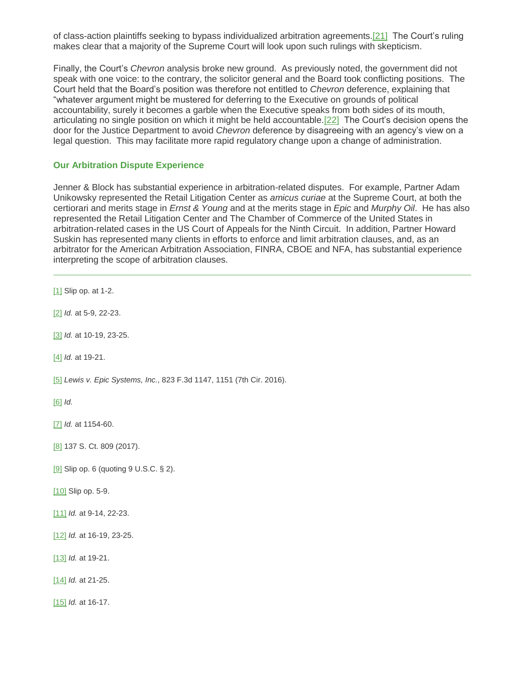of class-action plaintiffs seeking to bypass individualized arbitration agreements[.\[21\]](https://sites-jenner.vuturevx.com/61/1249/may-2018/the-supreme-court-reaffirms-the-reach-and-force-of-the-federal-arbitration-act--this-time-in-employment-cases(3).asp#footnote10) The Court's ruling makes clear that a majority of the Supreme Court will look upon such rulings with skepticism.

Finally, the Court's *Chevron* analysis broke new ground. As previously noted, the government did not speak with one voice: to the contrary, the solicitor general and the Board took conflicting positions. The Court held that the Board's position was therefore not entitled to *Chevron* deference, explaining that "whatever argument might be mustered for deferring to the Executive on grounds of political accountability, surely it becomes a garble when the Executive speaks from both sides of its mouth, articulating no single position on which it might be held accountable[.\[22\]](https://sites-jenner.vuturevx.com/61/1249/may-2018/the-supreme-court-reaffirms-the-reach-and-force-of-the-federal-arbitration-act--this-time-in-employment-cases(3).asp#footnote10) The Court's decision opens the door for the Justice Department to avoid *Chevron* deference by disagreeing with an agency's view on a legal question. This may facilitate more rapid regulatory change upon a change of administration.

#### **Our Arbitration Dispute Experience**

Jenner & Block has substantial experience in arbitration-related disputes. For example, Partner Adam Unikowsky represented the Retail Litigation Center as *amicus curiae* at the Supreme Court, at both the certiorari and merits stage in *Ernst & Young* and at the merits stage in *Epic* and *Murphy Oil*. He has also represented the Retail Litigation Center and The Chamber of Commerce of the United States in arbitration-related cases in the US Court of Appeals for the Ninth Circuit. In addition, Partner Howard Suskin has represented many clients in efforts to enforce and limit arbitration clauses, and, as an arbitrator for the American Arbitration Association, FINRA, CBOE and NFA, has substantial experience interpreting the scope of arbitration clauses.

[\[1\]](file:///C:/Users/digiovjl/AppData/Local/Microsoft/Windows/Temporary%20Internet%20Files/Content.Outlook/SF5BYTXX/CHICAGO-n2623156-v4%20(COPY)%20Client%20Alert%20-%20Epic.docx%23_ftnref1) Slip op. at 1-2. [\[2\]](file:///C:/Users/digiovjl/AppData/Local/Microsoft/Windows/Temporary%20Internet%20Files/Content.Outlook/SF5BYTXX/CHICAGO-n2623156-v4%20(COPY)%20Client%20Alert%20-%20Epic.docx%23_ftnref2) *Id.* at 5-9, 22-23. [\[3\]](file:///C:/Users/digiovjl/AppData/Local/Microsoft/Windows/Temporary%20Internet%20Files/Content.Outlook/SF5BYTXX/CHICAGO-n2623156-v4%20(COPY)%20Client%20Alert%20-%20Epic.docx%23_ftnref3) *Id.* at 10-19, 23-25. [\[4\]](file:///C:/Users/digiovjl/AppData/Local/Microsoft/Windows/Temporary%20Internet%20Files/Content.Outlook/SF5BYTXX/CHICAGO-n2623156-v4%20(COPY)%20Client%20Alert%20-%20Epic.docx%23_ftnref4) *Id.* at 19-21. [\[5\]](file:///C:/Users/digiovjl/AppData/Local/Microsoft/Windows/Temporary%20Internet%20Files/Content.Outlook/SF5BYTXX/CHICAGO-n2623156-v4%20(COPY)%20Client%20Alert%20-%20Epic.docx%23_ftnref5) *Lewis v. Epic Systems, Inc.*, 823 F.3d 1147, 1151 (7th Cir. 2016). [\[6\]](file:///C:/Users/digiovjl/AppData/Local/Microsoft/Windows/Temporary%20Internet%20Files/Content.Outlook/SF5BYTXX/CHICAGO-n2623156-v4%20(COPY)%20Client%20Alert%20-%20Epic.docx%23_ftnref6) *Id.* [\[7\]](file:///C:/Users/digiovjl/AppData/Local/Microsoft/Windows/Temporary%20Internet%20Files/Content.Outlook/SF5BYTXX/CHICAGO-n2623156-v4%20(COPY)%20Client%20Alert%20-%20Epic.docx%23_ftnref7) *Id.* at 1154-60. [\[8\]](file:///C:/Users/digiovjl/AppData/Local/Microsoft/Windows/Temporary%20Internet%20Files/Content.Outlook/SF5BYTXX/CHICAGO-n2623156-v4%20(COPY)%20Client%20Alert%20-%20Epic.docx%23_ftnref8) 137 S. Ct. 809 (2017). [\[9\]](file:///C:/Users/digiovjl/AppData/Local/Microsoft/Windows/Temporary%20Internet%20Files/Content.Outlook/SF5BYTXX/CHICAGO-n2623156-v4%20(COPY)%20Client%20Alert%20-%20Epic.docx%23_ftnref9) Slip op. 6 (quoting 9 U.S.C. § 2). [\[10\]](file:///C:/Users/digiovjl/AppData/Local/Microsoft/Windows/Temporary%20Internet%20Files/Content.Outlook/SF5BYTXX/CHICAGO-n2623156-v4%20(COPY)%20Client%20Alert%20-%20Epic.docx%23_ftnref10) Slip op. 5-9. [\[11\]](file:///C:/Users/digiovjl/AppData/Local/Microsoft/Windows/Temporary%20Internet%20Files/Content.Outlook/SF5BYTXX/CHICAGO-n2623156-v4%20(COPY)%20Client%20Alert%20-%20Epic.docx%23_ftnref11) *Id.* at 9-14, 22-23. [\[12\]](file:///C:/Users/digiovjl/AppData/Local/Microsoft/Windows/Temporary%20Internet%20Files/Content.Outlook/SF5BYTXX/CHICAGO-n2623156-v4%20(COPY)%20Client%20Alert%20-%20Epic.docx%23_ftnref12) *Id.* at 16-19, 23-25. [\[13\]](file:///C:/Users/digiovjl/AppData/Local/Microsoft/Windows/Temporary%20Internet%20Files/Content.Outlook/SF5BYTXX/CHICAGO-n2623156-v4%20(COPY)%20Client%20Alert%20-%20Epic.docx%23_ftnref13) *Id.* at 19-21. [\[14\]](file:///C:/Users/digiovjl/AppData/Local/Microsoft/Windows/Temporary%20Internet%20Files/Content.Outlook/SF5BYTXX/CHICAGO-n2623156-v4%20(COPY)%20Client%20Alert%20-%20Epic.docx%23_ftnref14) *Id.* at 21-25. [\[15\]](file:///C:/Users/digiovjl/AppData/Local/Microsoft/Windows/Temporary%20Internet%20Files/Content.Outlook/SF5BYTXX/CHICAGO-n2623156-v4%20(COPY)%20Client%20Alert%20-%20Epic.docx%23_ftnref15) *Id.* at 16-17.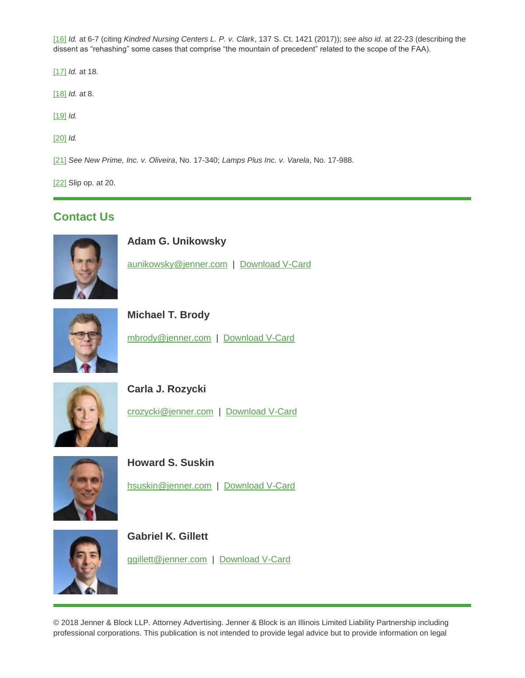[\[16\]](file:///C:/Users/digiovjl/AppData/Local/Microsoft/Windows/Temporary%20Internet%20Files/Content.Outlook/SF5BYTXX/CHICAGO-n2623156-v4%20(COPY)%20Client%20Alert%20-%20Epic.docx%23_ftnref16) *Id.* at 6-7 (citing *Kindred Nursing Centers L. P. v. Clark*, 137 S. Ct. 1421 (2017)); *see also id.* at 22-23 (describing the dissent as "rehashing" some cases that comprise "the mountain of precedent" related to the scope of the FAA).

[\[17\]](file:///C:/Users/digiovjl/AppData/Local/Microsoft/Windows/Temporary%20Internet%20Files/Content.Outlook/SF5BYTXX/CHICAGO-n2623156-v4%20(COPY)%20Client%20Alert%20-%20Epic.docx%23_ftnref17) *Id.* at 18.

[\[18\]](file:///C:/Users/digiovjl/AppData/Local/Microsoft/Windows/Temporary%20Internet%20Files/Content.Outlook/SF5BYTXX/CHICAGO-n2623156-v4%20(COPY)%20Client%20Alert%20-%20Epic.docx%23_ftnref18) *Id.* at 8.

[\[19\]](file:///C:/Users/digiovjl/AppData/Local/Microsoft/Windows/Temporary%20Internet%20Files/Content.Outlook/SF5BYTXX/CHICAGO-n2623156-v4%20(COPY)%20Client%20Alert%20-%20Epic.docx%23_ftnref19) *Id.*

[\[20\]](file:///C:/Users/digiovjl/AppData/Local/Microsoft/Windows/Temporary%20Internet%20Files/Content.Outlook/SF5BYTXX/CHICAGO-n2623156-v4%20(COPY)%20Client%20Alert%20-%20Epic.docx%23_ftnref20) *Id.*

[\[21\]](file:///C:/Users/digiovjl/AppData/Local/Microsoft/Windows/Temporary%20Internet%20Files/Content.Outlook/SF5BYTXX/CHICAGO-n2623156-v4%20(COPY)%20Client%20Alert%20-%20Epic.docx%23_ftnref21) *See New Prime, Inc. v. Oliveira*, No. 17-340; *Lamps Plus Inc. v. Varela*, No. 17-988.

[\[22\]](file:///C:/Users/digiovjl/AppData/Local/Microsoft/Windows/Temporary%20Internet%20Files/Content.Outlook/SF5BYTXX/CHICAGO-n2623156-v4%20(COPY)%20Client%20Alert%20-%20Epic.docx%23_ftnref22) Slip op*.* at 20.

## **Contact Us**



**Adam G. Unikowsky**

[aunikowsky@jenner.com](mailto:aunikowsky@jenner.com) | [Download V-Card](https://jenner.com/people/509/vcard)



**Michael T. Brody**

[mbrody@jenner.com](mailto:mbrody@jenner.com) | [Download V-Card](https://jenner.com/people/88/vcard)



**Carla J. Rozycki**

[crozycki@jenner.com](mailto:crozycki@jenner.com) | [Download V-Card](https://jenner.com/people/376/vcard)



**Howard S. Suskin**

[hsuskin@jenner.com](mailto:hsuskin@jenner.com) | [Download V-Card](https://jenner.com/people/203/vcard)





[ggillett@jenner.com](mailto:ggillett@jenner.com) | [Download V-Card](https://jenner.com/people/1008/vcard)

© 2018 Jenner & Block LLP. Attorney Advertising. Jenner & Block is an Illinois Limited Liability Partnership including professional corporations. This publication is not intended to provide legal advice but to provide information on legal